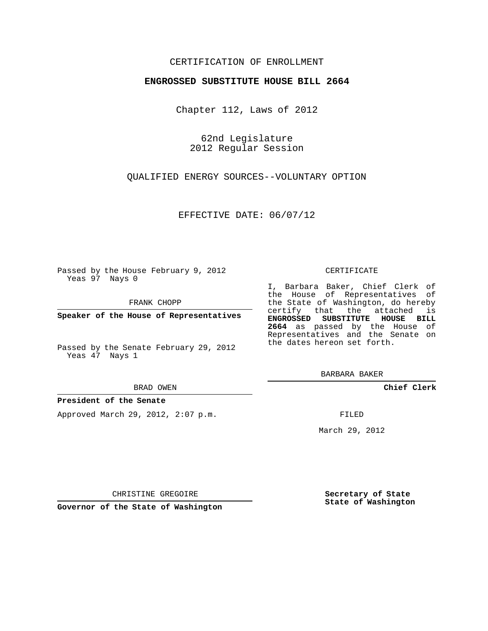## CERTIFICATION OF ENROLLMENT

### **ENGROSSED SUBSTITUTE HOUSE BILL 2664**

Chapter 112, Laws of 2012

62nd Legislature 2012 Regular Session

QUALIFIED ENERGY SOURCES--VOLUNTARY OPTION

EFFECTIVE DATE: 06/07/12

Passed by the House February 9, 2012 Yeas 97 Nays 0

FRANK CHOPP

**Speaker of the House of Representatives**

Passed by the Senate February 29, 2012 Yeas 47 Nays 1

#### BRAD OWEN

### **President of the Senate**

Approved March 29, 2012, 2:07 p.m.

#### CERTIFICATE

I, Barbara Baker, Chief Clerk of the House of Representatives of the State of Washington, do hereby certify that the attached is **ENGROSSED SUBSTITUTE HOUSE BILL 2664** as passed by the House of Representatives and the Senate on the dates hereon set forth.

BARBARA BAKER

**Chief Clerk**

FILED

March 29, 2012

CHRISTINE GREGOIRE

**Governor of the State of Washington**

**Secretary of State State of Washington**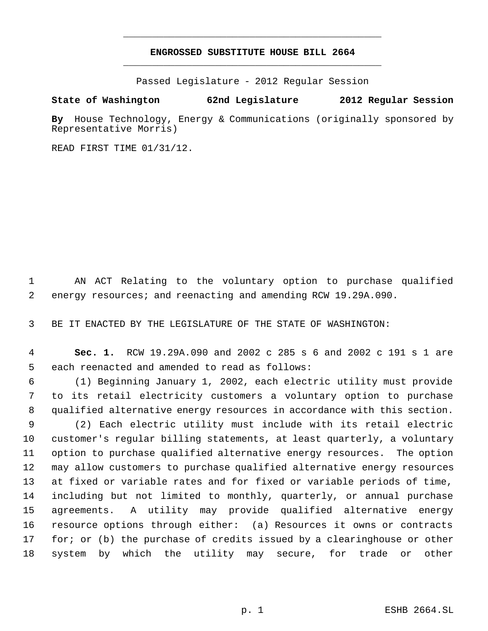# **ENGROSSED SUBSTITUTE HOUSE BILL 2664** \_\_\_\_\_\_\_\_\_\_\_\_\_\_\_\_\_\_\_\_\_\_\_\_\_\_\_\_\_\_\_\_\_\_\_\_\_\_\_\_\_\_\_\_\_

\_\_\_\_\_\_\_\_\_\_\_\_\_\_\_\_\_\_\_\_\_\_\_\_\_\_\_\_\_\_\_\_\_\_\_\_\_\_\_\_\_\_\_\_\_

Passed Legislature - 2012 Regular Session

## **State of Washington 62nd Legislature 2012 Regular Session**

**By** House Technology, Energy & Communications (originally sponsored by Representative Morris)

READ FIRST TIME 01/31/12.

 AN ACT Relating to the voluntary option to purchase qualified energy resources; and reenacting and amending RCW 19.29A.090.

BE IT ENACTED BY THE LEGISLATURE OF THE STATE OF WASHINGTON:

 **Sec. 1.** RCW 19.29A.090 and 2002 c 285 s 6 and 2002 c 191 s 1 are each reenacted and amended to read as follows:

 (1) Beginning January 1, 2002, each electric utility must provide to its retail electricity customers a voluntary option to purchase qualified alternative energy resources in accordance with this section.

 (2) Each electric utility must include with its retail electric customer's regular billing statements, at least quarterly, a voluntary option to purchase qualified alternative energy resources. The option may allow customers to purchase qualified alternative energy resources at fixed or variable rates and for fixed or variable periods of time, including but not limited to monthly, quarterly, or annual purchase agreements. A utility may provide qualified alternative energy resource options through either: (a) Resources it owns or contracts for; or (b) the purchase of credits issued by a clearinghouse or other system by which the utility may secure, for trade or other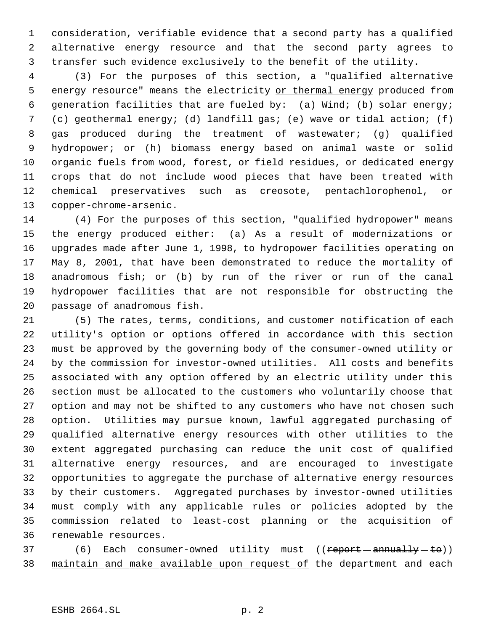consideration, verifiable evidence that a second party has a qualified alternative energy resource and that the second party agrees to transfer such evidence exclusively to the benefit of the utility.

 (3) For the purposes of this section, a "qualified alternative 5 energy resource" means the electricity or thermal energy produced from generation facilities that are fueled by: (a) Wind; (b) solar energy; (c) geothermal energy; (d) landfill gas; (e) wave or tidal action; (f) gas produced during the treatment of wastewater; (g) qualified hydropower; or (h) biomass energy based on animal waste or solid organic fuels from wood, forest, or field residues, or dedicated energy crops that do not include wood pieces that have been treated with chemical preservatives such as creosote, pentachlorophenol, or copper-chrome-arsenic.

 (4) For the purposes of this section, "qualified hydropower" means the energy produced either: (a) As a result of modernizations or upgrades made after June 1, 1998, to hydropower facilities operating on May 8, 2001, that have been demonstrated to reduce the mortality of anadromous fish; or (b) by run of the river or run of the canal hydropower facilities that are not responsible for obstructing the passage of anadromous fish.

 (5) The rates, terms, conditions, and customer notification of each utility's option or options offered in accordance with this section must be approved by the governing body of the consumer-owned utility or by the commission for investor-owned utilities. All costs and benefits associated with any option offered by an electric utility under this section must be allocated to the customers who voluntarily choose that option and may not be shifted to any customers who have not chosen such option. Utilities may pursue known, lawful aggregated purchasing of qualified alternative energy resources with other utilities to the extent aggregated purchasing can reduce the unit cost of qualified alternative energy resources, and are encouraged to investigate opportunities to aggregate the purchase of alternative energy resources by their customers. Aggregated purchases by investor-owned utilities must comply with any applicable rules or policies adopted by the commission related to least-cost planning or the acquisition of renewable resources.

37 (6) Each consumer-owned utility must ((report-annually-to)) 38 maintain and make available upon request of the department and each